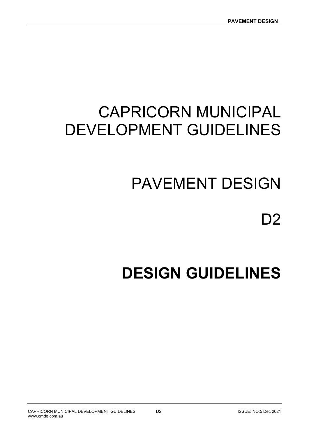# CAPRICORN MUNICIPAL DEVELOPMENT GUIDELINES

# PAVEMENT DESIGN

# D2

# DESIGN GUIDELINES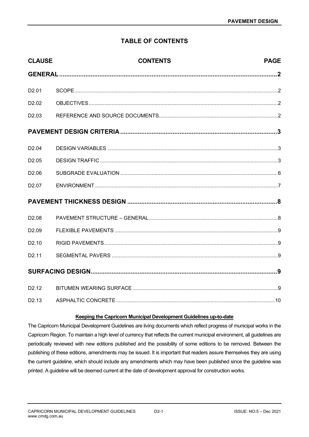# TABLE OF CONTENTS

| <b>CLAUSE</b>     | <b>CONTENTS</b> | <b>PAGE</b> |
|-------------------|-----------------|-------------|
|                   |                 |             |
| D <sub>2.01</sub> |                 |             |
| D <sub>2.02</sub> |                 |             |
| D <sub>2.03</sub> |                 |             |
|                   |                 |             |
| D <sub>2.04</sub> |                 |             |
| D <sub>2.05</sub> |                 |             |
| D <sub>2.06</sub> |                 |             |
| D <sub>2.07</sub> |                 |             |
|                   |                 |             |
| D <sub>2.08</sub> |                 |             |
| D <sub>2.09</sub> |                 |             |
| D <sub>2.10</sub> |                 |             |
| D <sub>2.11</sub> |                 |             |
|                   |                 |             |
| D <sub>2.12</sub> |                 |             |
| D <sub>2.13</sub> |                 |             |

#### Keeping the Capricorn Municipal Development Guidelines up-to-date

The Capricorn Municipal Development Guidelines are living documents which reflect progress of municipal works in the Capricorn Region. To maintain a high level of currency that reflects the current municipal environment, all guidelines are periodically reviewed with new editions published and the possibility of some editions to be removed. Between the publishing of these editions, amendments may be issued. It is important that readers assure themselves they are using the current guideline, which should include any amendments which may have been published since the guideline was printed. A guideline will be deemed current at the date of development approval for construction works.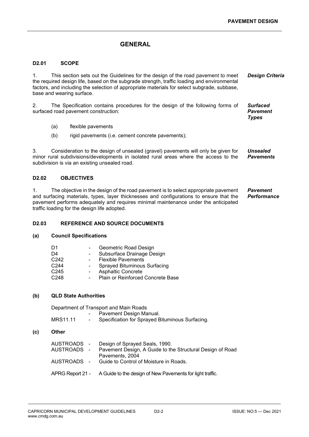## **GENERAL**

#### D2.01 SCOPE

1. This section sets out the Guidelines for the design of the road pavement to meet the required design life, based on the subgrade strength, traffic loading and environmental factors, and including the selection of appropriate materials for select subgrade, subbase, base and wearing surface. Design Criteria

2. The Specification contains procedures for the design of the following forms of surfaced road pavement construction:

Surfaced Pavement Types

- (a) flexible pavements
- (b) rigid pavements (i.e. cement concrete pavements):

3. Consideration to the design of unsealed (gravel) pavements will only be given for minor rural subdivisions/developments in isolated rural areas where the access to the subdivision is via an existing unsealed road. Unsealed **Pavements** 

#### D2.02 OBJECTIVES

1. The objective in the design of the road pavement is to select appropriate pavement and surfacing materials, types, layer thicknesses and configurations to ensure that the pavement performs adequately and requires minimal maintenance under the anticipated traffic loading for the design life adopted. Pavement **Performance** 

#### D2.03 REFERENCE AND SOURCE DOCUMENTS

#### (a) Council Specifications

| D1               | Geometric Road Design                   |
|------------------|-----------------------------------------|
| D4               | Subsurface Drainage Design              |
| C <sub>242</sub> | <b>Flexible Pavements</b><br>$\sim 100$ |
| C <sub>244</sub> | <b>Sprayed Bituminous Surfacing</b>     |
| C <sub>245</sub> | <b>Asphaltic Concrete</b>               |
| C <sub>248</sub> | Plain or Reinforced Concrete Base       |
|                  |                                         |

#### (b) QLD State Authorities

Department of Transport and Main Roads

|          | Pavement Design Manual.                         |
|----------|-------------------------------------------------|
| MRS11.11 | Specification for Sprayed Bituminous Surfacing. |

#### (c) Other

| AUSTROADS - Design of Sprayed Seals, 1990.<br>AUSTROADS - Pavement Design, A Guide to the Structural Design of Road<br>Pavements, 2004 |
|----------------------------------------------------------------------------------------------------------------------------------------|
| AUSTROADS - Guide to Control of Moisture in Roads.                                                                                     |
| APRG Report 21 - A Guide to the design of New Pavements for light traffic.                                                             |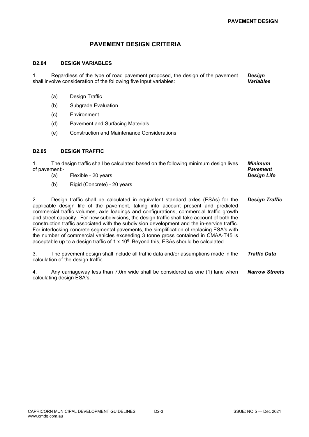### PAVEMENT DESIGN CRITERIA

#### D2.04 DESIGN VARIABLES

1. Regardless of the type of road pavement proposed, the design of the pavement shall involve consideration of the following five input variables: **Desian** Variables

- (a) Design Traffic
- (b) Subgrade Evaluation
- (c) Environment
- (d) Pavement and Surfacing Materials
- (e) Construction and Maintenance Considerations

#### D2.05 DESIGN TRAFFIC

1. The design traffic shall be calculated based on the following minimum design lives of pavement:- Minimum Pavement Design Life

- (a) Flexible 20 years
- (b) Rigid (Concrete) 20 years

2. Design traffic shall be calculated in equivalent standard axles (ESAs) for the applicable design life of the pavement, taking into account present and predicted commercial traffic volumes, axle loadings and configurations, commercial traffic growth and street capacity. For new subdivisions, the design traffic shall take account of both the construction traffic associated with the subdivision development and the in-service traffic. For interlocking concrete segmental pavements, the simplification of replacing ESA's with the number of commercial vehicles exceeding 3 tonne gross contained in CMAA-T45 is acceptable up to a design traffic of  $1 \times 10^6$ . Beyond this, ESAs should be calculated. Design Traffic

3. The pavement design shall include all traffic data and/or assumptions made in the calculation of the design traffic. Traffic Data

4. Any carriageway less than 7.0m wide shall be considered as one (1) lane when calculating design ESA's. Narrow Streets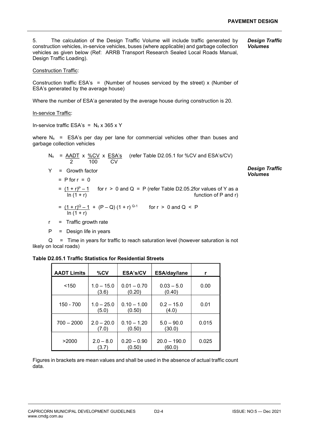5. The calculation of the Design Traffic Volume will include traffic generated by construction vehicles, in-service vehicles, buses (where applicable) and garbage collection vehicles as given below (Ref: ARRB Transport Research Sealed Local Roads Manual, Design Traffic Loading). Design Traffic Volumes

Construction Traffic:

Construction traffic ESA's = (Number of houses serviced by the street) x (Number of ESA's generated by the average house)

Where the number of ESA'a generated by the average house during construction is 20.

In-service Traffic:

In-service traffic ESA's =  $N_s \times 365 \times Y$ 

where  $N_s$  = ESA's per day per lane for commercial vehicles other than buses and garbage collection vehicles

|    | $N_s$ = $\underline{AADT}$ x $\frac{\%CV}{\%}$ x $\underline{ESA's}$ (refer Table D2.05.1 for $\%CV$ and ESA's/CV)<br>100<br><b>CV</b> |                                         |
|----|----------------------------------------------------------------------------------------------------------------------------------------|-----------------------------------------|
| Y  | $=$ Growth factor                                                                                                                      | <b>Design Traffic</b><br><b>Volumes</b> |
|    | $=$ P for $r = 0$                                                                                                                      |                                         |
|    | $=$ $(1+r)^p-1$ for r > 0 and Q = P (refer Table D2.05.2for values of Y as a<br>$ln(1 + r)$<br>function of P and r)                    |                                         |
|    | = $(1+r)^{Q} - 1$ + $(P-Q)(1+r)^{Q-1}$ for r > 0 and Q < P<br>$ln(1 + r)$                                                              |                                         |
| r. | $=$ Traffic growth rate                                                                                                                |                                         |
|    | $=$ Design life in years                                                                                                               |                                         |

 Q = Time in years for traffic to reach saturation level (however saturation is not likely on local roads)

|  |  | <b>Table D2.05.1 Traffic Statistics for Residential Streets</b> |
|--|--|-----------------------------------------------------------------|
|--|--|-----------------------------------------------------------------|

| <b>AADT Limits</b> | $\%$ CV               | ESA's/CV                | ESA/day/lane            | r     |
|--------------------|-----------------------|-------------------------|-------------------------|-------|
| < 150              | $1.0 - 15.0$<br>(3.6) | $0.01 - 0.70$<br>(0.20) | $0.03 - 5.0$<br>(0.40)  | 0.00  |
| 150 - 700          | $1.0 - 25.0$<br>(5.0) | $0.10 - 1.00$<br>(0.50) | $0.2 - 15.0$<br>(4.0)   | 0.01  |
| $700 - 2000$       | $2.0 - 20.0$<br>(7.0) | $0.10 - 1.20$<br>(0.50) | $5.0 - 90.0$<br>(30.0)  | 0.015 |
| >2000              | $2.0 - 8.0$<br>(3.7)  | $0.20 - 0.90$<br>(0.50) | $20.0 - 190.0$<br>(60.0 | 0.025 |

Figures in brackets are mean values and shall be used in the absence of actual traffic count data.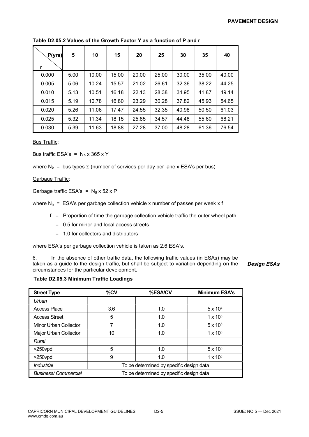| P(yrs) | 5    | 10    | 15    | 20    | 25    | 30    | 35    | 40    |
|--------|------|-------|-------|-------|-------|-------|-------|-------|
| 0.000  | 5.00 | 10.00 | 15.00 | 20.00 | 25.00 | 30.00 | 35.00 | 40.00 |
| 0.005  | 5.06 | 10.24 | 15.57 | 21.02 | 26.61 | 32.36 | 38.22 | 44.25 |
| 0.010  | 5.13 | 10.51 | 16.18 | 22.13 | 28.38 | 34.95 | 41.87 | 49.14 |
| 0.015  | 5.19 | 10.78 | 16.80 | 23.29 | 30.28 | 37.82 | 45.93 | 54.65 |
| 0.020  | 5.26 | 11.06 | 17.47 | 24.55 | 32.35 | 40.98 | 50.50 | 61.03 |
| 0.025  | 5.32 | 11.34 | 18.15 | 25.85 | 34.57 | 44.48 | 55.60 | 68.21 |
| 0.030  | 5.39 | 11.63 | 18.88 | 27.28 | 37.00 | 48.28 | 61.36 | 76.54 |

Table D2.05.2 Values of the Growth Factor Y as a function of P and r

**Bus Traffic:** 

Bus traffic ESA's =  $N_b$  x 365 x Y

where  $N_b$  = bus types  $\Sigma$  (number of services per day per lane x ESA's per bus)

Garbage Traffic:

Garbage traffic ESA's =  $N<sub>a</sub>$  x 52 x P

where  $N_q$  = ESA's per garbage collection vehicle x number of passes per week x f

- f = Proportion of time the garbage collection vehicle traffic the outer wheel path
	- = 0.5 for minor and local access streets
	- = 1.0 for collectors and distributors

where ESA's per garbage collection vehicle is taken as 2.6 ESA's.

6. In the absence of other traffic data, the following traffic values (in ESAs) may be taken as a guide to the design traffic, but shall be subject to variation depending on the circumstances for the particular development.

Design ESAs

#### Table D2.05.3 Minimum Traffic Loadings

| <b>Street Type</b>         | %CV                                      | %ESA/CV | <b>Minimum ESA's</b> |  |
|----------------------------|------------------------------------------|---------|----------------------|--|
| Urban                      |                                          |         |                      |  |
| <b>Access Place</b>        | 3.6                                      | 1.0     | $5 \times 10^{4}$    |  |
| <b>Access Street</b>       | 5                                        | 1.0     | $1 \times 10^{5}$    |  |
| Minor Urban Collector      | 7                                        | 1.0     | $5 \times 10^{5}$    |  |
| Major Urban Collector      | 10                                       | 1.0     | $1 \times 10^6$      |  |
| Rural                      |                                          |         |                      |  |
| $<$ 250 $v$ pd             | 5                                        | 1.0     | $5 \times 10^{5}$    |  |
| $>250$ vpd                 | 9                                        | 1.0     | $1 \times 10^6$      |  |
| <b>Industrial</b>          | To be determined by specific design data |         |                      |  |
| <b>Business/Commercial</b> | To be determined by specific design data |         |                      |  |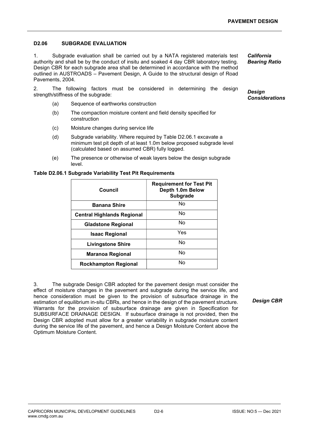#### D2.06 SUBGRADE EVALUATION

1. Subgrade evaluation shall be carried out by a NATA registered materials test authority and shall be by the conduct of insitu and soaked 4 day CBR laboratory testing. Design CBR for each subgrade area shall be determined in accordance with the method outlined in AUSTROADS – Pavement Design, A Guide to the structural design of Road Pavements, 2004.

2. The following factors must be considered in determining the design strength/stiffness of the subgrade:

- (a) Sequence of earthworks construction
- (b) The compaction moisture content and field density specified for construction
- (c) Moisture changes during service life
- (d) Subgrade variability. Where required by Table D2.06.1 excavate a minimum test pit depth of at least 1.0m below proposed subgrade level (calculated based on assumed CBR) fully logged.
- (e) The presence or otherwise of weak layers below the design subgrade level.

#### Table D2.06.1 Subgrade Variability Test Pit Requirements

| Council                           | <b>Requirement for Test Pit</b><br>Depth 1.0m Below<br><b>Subgrade</b> |
|-----------------------------------|------------------------------------------------------------------------|
| <b>Banana Shire</b>               | No                                                                     |
| <b>Central Highlands Regional</b> | No                                                                     |
| <b>Gladstone Regional</b>         | No                                                                     |
| <b>Isaac Regional</b>             | Yes                                                                    |
| <b>Livingstone Shire</b>          | No                                                                     |
| Maranoa Regional                  | No                                                                     |
| <b>Rockhampton Regional</b>       | No                                                                     |

3. The subgrade Design CBR adopted for the pavement design must consider the effect of moisture changes in the pavement and subgrade during the service life, and hence consideration must be given to the provision of subsurface drainage in the estimation of equilibrium in-situ CBRs, and hence in the design of the pavement structure. Warrants for the provision of subsurface drainage are given in Specification for SUBSURFACE DRAINAGE DESIGN. If subsurface drainage is not provided, then the Design CBR adopted must allow for a greater variability in subgrade moisture content during the service life of the pavement, and hence a Design Moisture Content above the Optimum Moisture Content.

Design CBR

California Bearing Ratio

**Desian Considerations**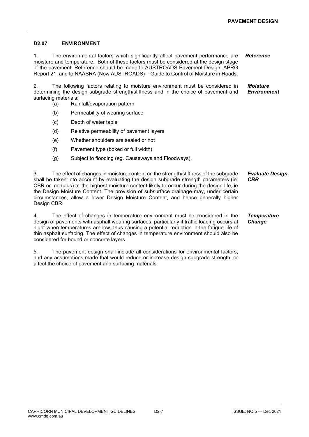#### D2.07 ENVIRONMENT

1. The environmental factors which significantly affect pavement performance are moisture and temperature. Both of these factors must be considered at the design stage of the pavement. Reference should be made to AUSTROADS Pavement Design, APRG Report 21, and to NAASRA (Now AUSTROADS) – Guide to Control of Moisture in Roads. Reference

2. The following factors relating to moisture environment must be considered in determining the design subgrade strength/stiffness and in the choice of pavement and surfacing materials: Moisture **Environment** 

- (a) Rainfall/evaporation pattern
- (b) Permeability of wearing surface
- (c) Depth of water table
- (d) Relative permeability of pavement layers
- (e) Whether shoulders are sealed or not
- (f) Pavement type (boxed or full width)
- (g) Subject to flooding (eg. Causeways and Floodways).

3. The effect of changes in moisture content on the strength/stiffness of the subgrade shall be taken into account by evaluating the design subgrade strength parameters (ie. CBR or modulus) at the highest moisture content likely to occur during the design life, ie the Design Moisture Content. The provision of subsurface drainage may, under certain circumstances, allow a lower Design Moisture Content, and hence generally higher Design CBR. Evaluate Design **CBR** 

4. The effect of changes in temperature environment must be considered in the design of pavements with asphalt wearing surfaces, particularly if traffic loading occurs at night when temperatures are low, thus causing a potential reduction in the fatigue life of thin asphalt surfacing. The effect of changes in temperature environment should also be considered for bound or concrete layers. **Temperature Change** 

5. The pavement design shall include all considerations for environmental factors, and any assumptions made that would reduce or increase design subgrade strength, or affect the choice of pavement and surfacing materials.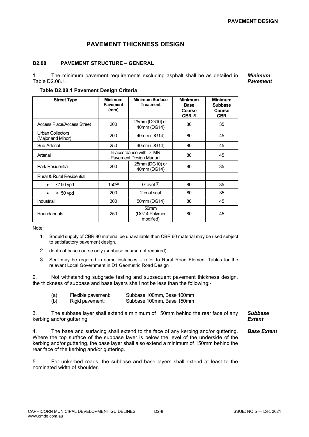### PAVEMENT THICKNESS DESIGN

#### D2.08 PAVEMENT STRUCTURE – GENERAL

1. The minimum pavement requirements excluding asphalt shall be as detailed in Table D2.08.1. Minimum Pavement

Table D2.08.1 Pavement Design Criteria

| <b>Street Type</b>                           | <b>Minimum</b><br><b>Pavement</b><br>(mm) | <b>Minimum Surface</b><br><b>Treatment</b>        | <b>Minimum</b><br><b>Base</b><br>Course<br>CBR <sup>(1)</sup> | <b>Minimum</b><br><b>Subbase</b><br>Course<br><b>CBR</b> |
|----------------------------------------------|-------------------------------------------|---------------------------------------------------|---------------------------------------------------------------|----------------------------------------------------------|
| <b>Access Place/Access Street</b>            | 200                                       | 25mm (DG10) or<br>40mm (DG14)                     | 80                                                            | 35                                                       |
| <b>Urban Collectors</b><br>(Major and Minor) | 200                                       | 40mm (DG14)                                       | 80                                                            | 45                                                       |
| Sub-Arterial                                 | 250                                       | 40mm (DG14)                                       | 80                                                            | 45                                                       |
| Arterial                                     |                                           | In accordance with DTMR<br>Pavement Design Manual | 80                                                            | 45                                                       |
| Park Residential                             | 200                                       | 25mm (DG10) or<br>40mm (DG14)                     | 80                                                            | 35                                                       |
| Rural & Rural Residential                    |                                           |                                                   |                                                               |                                                          |
| $<$ 150 vpd<br>$\bullet$                     | $150^{(2)}$                               | Gravel $(3)$                                      | 80                                                            | 35                                                       |
| $>150$ vpd<br>$\bullet$                      | 200                                       | 2 coat seal                                       | 80                                                            | 35                                                       |
| Industrial                                   | 300                                       | 50mm (DG14)                                       | 80                                                            | 45                                                       |
| Roundabouts                                  | 250                                       | 50 <sub>mm</sub><br>(DG14 Polymer<br>modified)    | 80                                                            | 45                                                       |

Note:

- 1. Should supply of CBR 80 material be unavailable then CBR 60 material may be used subject to satisfactory pavement design.
- 2. depth of base course only (subbase course not required)
- 3. Seal may be required in some instances refer to Rural Road Element Tables for the relevant Local Government in D1 Geometric Road Design

2. Not withstanding subgrade testing and subsequent pavement thickness design, the thickness of subbase and base layers shall not be less than the following:-

| (a) | Flexible pavement: | Subbase 100mm, Base 100mm |
|-----|--------------------|---------------------------|
| (b) | Rigid pavement:    | Subbase 100mm, Base 150mm |

3. The subbase layer shall extend a minimum of 150mm behind the rear face of any kerbing and/or guttering.

Subbase **Extent** 

4. The base and surfacing shall extend to the face of any kerbing and/or guttering. Where the top surface of the subbase layer is below the level of the underside of the kerbing and/or guttering, the base layer shall also extend a minimum of 150mm behind the rear face of the kerbing and/or guttering. Base Extent

5. For unkerbed roads, the subbase and base layers shall extend at least to the nominated width of shoulder.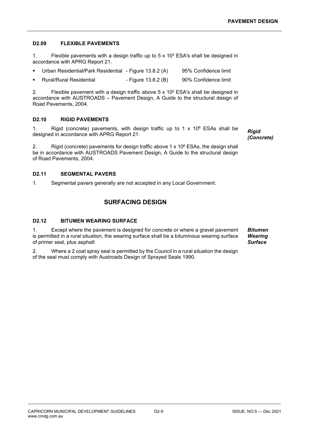#### D2.09 FLEXIBLE PAVEMENTS

1. Flexible pavements with a design traffic up to  $5 \times 10^5$  ESA's shall be designed in accordance with APRG Report 21.

- Urban Residential/Park Residential Figure 13.8.2 (A) 95% Confidence limit
- **Rural/Rural Residential**  Figure 13.8.2 (B) 90% Confidence limit

2. Flexible pavement with a design traffic above  $5 \times 10^5$  ESA's shall be designed in accordance with AUSTROADS – Pavement Design, A Guide to the structural design of Road Pavements, 2004.

#### D2.10 RIGID PAVEMENTS

1. Rigid (concrete) pavements, with design traffic up to  $1 \times 10^6$  ESAs shall be 1. Rigid (concrete) pavements, with design traffic up to 1 x  $10^6$  ESAs shall be Rigid designed in accordance with APRG Report 21.

(Concrete)

2. Rigid (concrete) pavements for design traffic above 1 x 10 $\textdegree$  ESAs, the design shall be in accordance with AUSTROADS Pavement Design, A Guide to the structural design of Road Pavements, 2004.

#### D2.11 SEGMENTAL PAVERS

1. Segmental pavers generally are not accepted in any Local Government.

#### SURFACING DESIGN

#### D2.12 BITUMEN WEARING SURFACE

1. Except where the pavement is designed for concrete or where a gravel pavement is permitted in a rural situation, the wearing surface shall be a bituminous wearing surface of primer seal, plus asphalt Bitumen **Wearing Surface** 

2. Where a 2 coat spray seal is permitted by the Council in a rural situation the design of the seal must comply with Austroads Design of Sprayed Seals 1990.